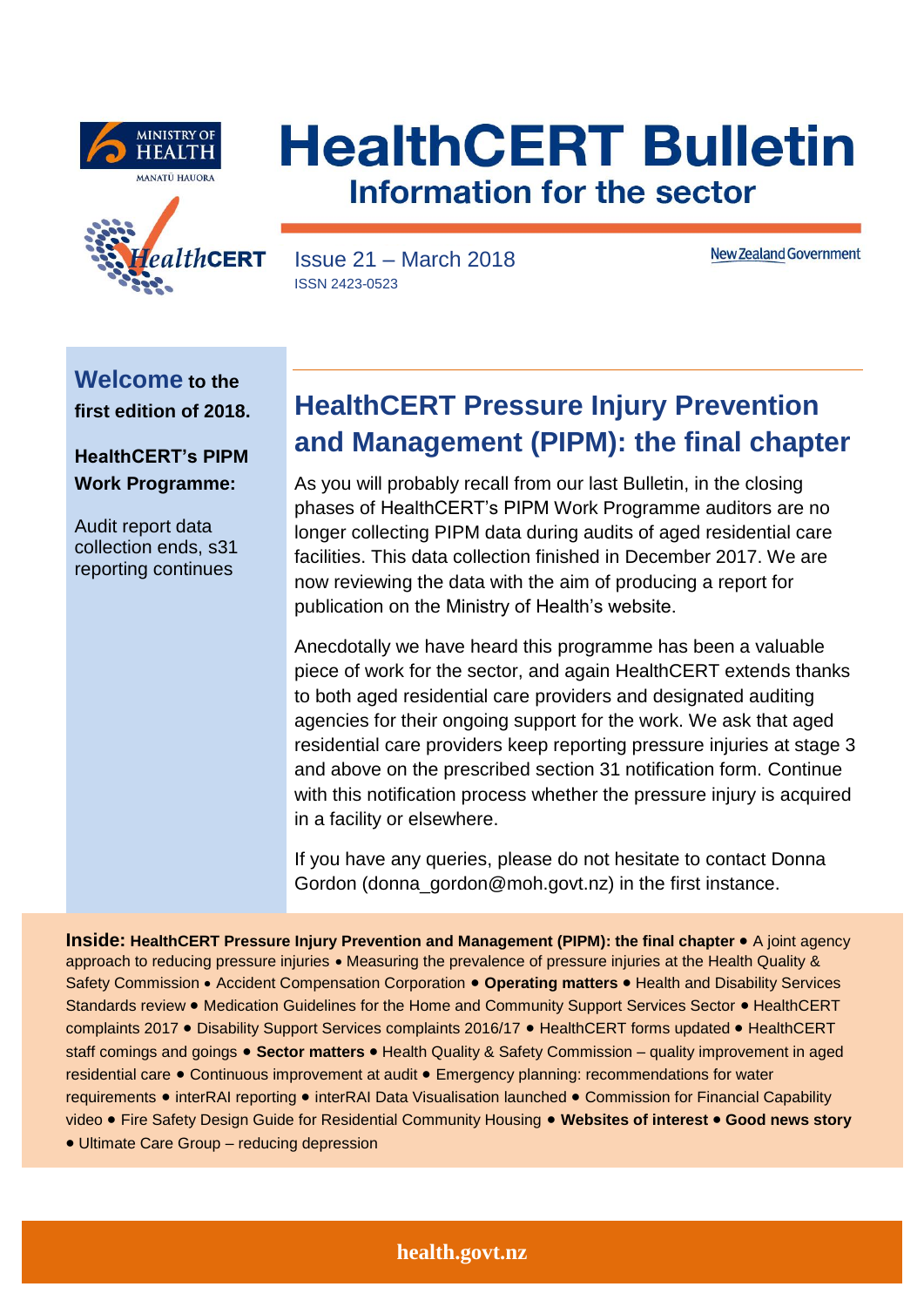





Issue 21 – March 2018 ISSN 2423-0523

**New Zealand Government** 

**Welcome to the first edition of 2018.** 

**HealthCERT's PIPM Work Programme:**

Audit report data collection ends, s31 reporting continues

# **HealthCERT Pressure Injury Prevention and Management (PIPM): the final chapter**

As you will probably recall from our last Bulletin, in the closing phases of HealthCERT's PIPM Work Programme auditors are no longer collecting PIPM data during audits of aged residential care facilities. This data collection finished in December 2017. We are now reviewing the data with the aim of producing a report for publication on the Ministry of Health's website.

Anecdotally we have heard this programme has been a valuable piece of work for the sector, and again HealthCERT extends thanks to both aged residential care providers and designated auditing agencies for their ongoing support for the work. We ask that aged residential care providers keep reporting pressure injuries at stage 3 and above on the prescribed section 31 notification form. Continue with this notification process whether the pressure injury is acquired in a facility or elsewhere.

If you have any queries, please do not hesitate to contact Donna Gordon (donna\_gordon@moh.govt.nz) in the first instance.

**Inside: HealthCERT Pressure Injury Prevention and Management (PIPM): the final chapter • A joint agency** approach to reducing pressure injuries • Measuring the prevalence of pressure injuries at the Health Quality & Safety Commission • Accident Compensation Corporation • Operating matters • Health and Disability Services Standards review . Medication Guidelines for the Home and Community Support Services Sector . HealthCERT complaints 2017 . Disability Support Services complaints 2016/17 . HealthCERT forms updated . HealthCERT staff comings and goings • Sector matters • Health Quality & Safety Commission – quality improvement in aged residential care Continuous improvement at audit Emergency planning: recommendations for water requirements • interRAI reporting • interRAI Data Visualisation launched • Commission for Financial Capability video Fire Safety Design Guide for Residential Community Housing **Websites of interest Good news story**

Ultimate Care Group – reducing depression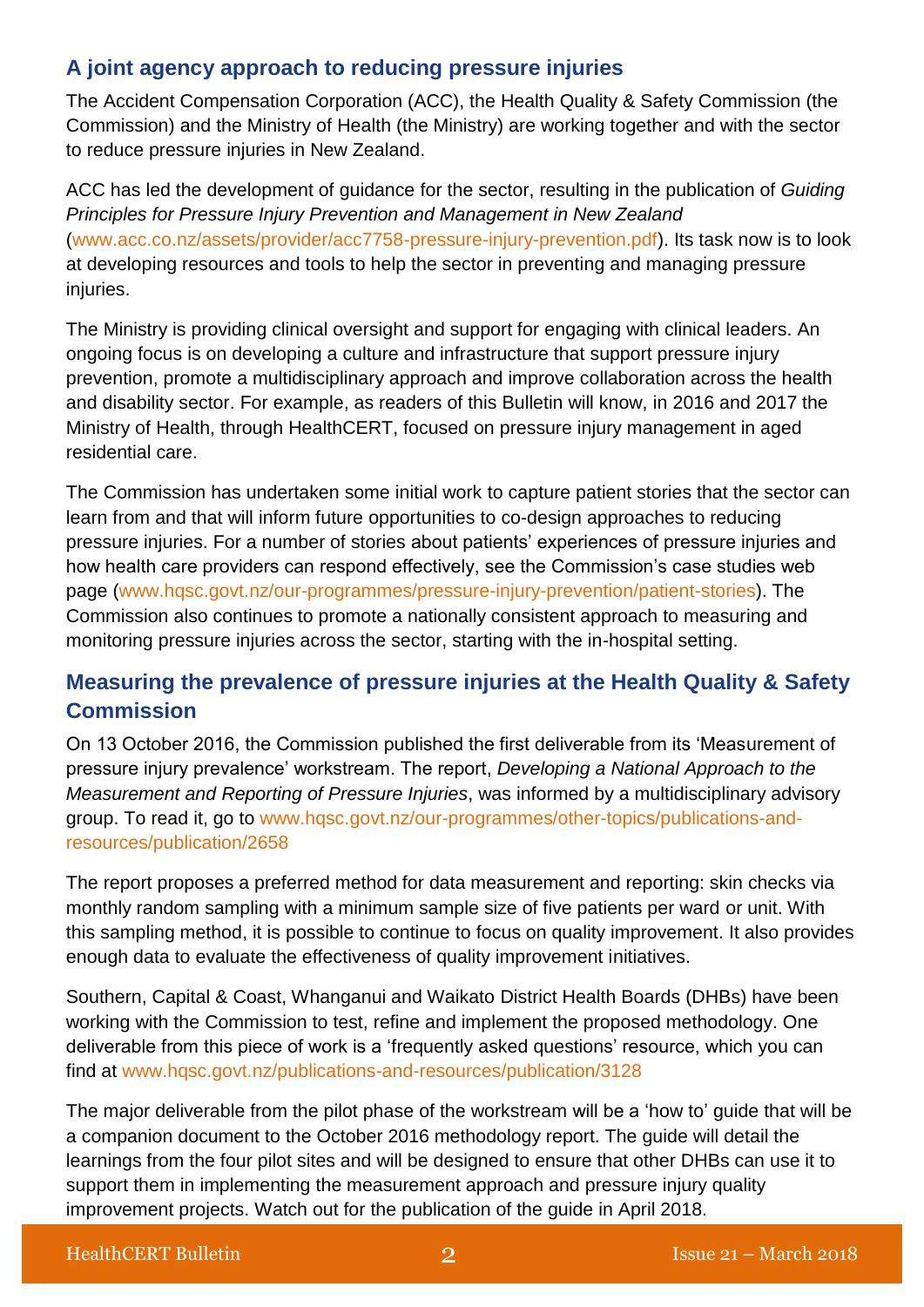### **A joint agency approach to reducing pressure injuries**

The Accident Compensation Corporation (ACC), the Health Quality & Safety Commission (the Commission) and the Ministry of Health (the Ministry) are working together and with the sector to reduce pressure injuries in New Zealand.

ACC has led the development of guidance for the sector, resulting in the publication of *Guiding Principles for Pressure Injury Prevention and Management in New Zealand* [\(www.acc.co.nz/assets/provider/acc7758-pressure-injury-prevention.pdf\)](https://www.acc.co.nz/assets/provider/acc7758-pressure-injury-prevention.pdf). Its task now is to look at developing resources and tools to help the sector in preventing and managing pressure injuries.

The Ministry is providing clinical oversight and support for engaging with clinical leaders. An ongoing focus is on developing a culture and infrastructure that support pressure injury prevention, promote a multidisciplinary approach and improve collaboration across the health and disability sector. For example, as readers of this Bulletin will know, in 2016 and 2017 the Ministry of Health, through HealthCERT, focused on pressure injury management in aged residential care.

The Commission has undertaken some initial work to capture patient stories that the sector can learn from and that will inform future opportunities to co-design approaches to reducing pressure injuries. For a number of stories about patients' experiences of pressure injuries and how health care providers can respond effectively, see the Commission's case studies web page [\(www.hqsc.govt.nz/our-programmes/pressure-injury-prevention/patient-stories\)](https://www.hqsc.govt.nz/our-programmes/pressure-injury-prevention/patient-stories/). The Commission also continues to promote a nationally consistent approach to measuring and monitoring pressure injuries across the sector, starting with the in-hospital setting.

## **Measuring the prevalence of pressure injuries at the Health Quality & Safety Commission**

On 13 October 2016, the Commission published the first deliverable from its 'Measurement of pressure injury prevalence' workstream. The report, *Developing a National Approach to the Measurement and Reporting of Pressure Injuries*, was informed by a multidisciplinary advisory group. To read it, go to [www.hqsc.govt.nz/our-programmes/other-topics/publications-and](http://www.hqsc.govt.nz/our-programmes/other-topics/publications-and-resources/publication/2658/)[resources/publication/2658](http://www.hqsc.govt.nz/our-programmes/other-topics/publications-and-resources/publication/2658/)

The report proposes a preferred method for data measurement and reporting: skin checks via monthly random sampling with a minimum sample size of five patients per ward or unit. With this sampling method, it is possible to continue to focus on quality improvement. It also provides enough data to evaluate the effectiveness of quality improvement initiatives.

Southern, Capital & Coast, Whanganui and Waikato District Health Boards (DHBs) have been working with the Commission to test, refine and implement the proposed methodology. One deliverable from this piece of work is a 'frequently asked questions' resource, which you can find at [www.hqsc.govt.nz/publications-and-resources/publication/3128](https://www.hqsc.govt.nz/publications-and-resources/publication/3128/)

The major deliverable from the pilot phase of the workstream will be a 'how to' guide that will be a companion document to the October 2016 methodology report. The guide will detail the learnings from the four pilot sites and will be designed to ensure that other DHBs can use it to support them in implementing the measurement approach and pressure injury quality improvement projects. Watch out for the publication of the guide in April 2018.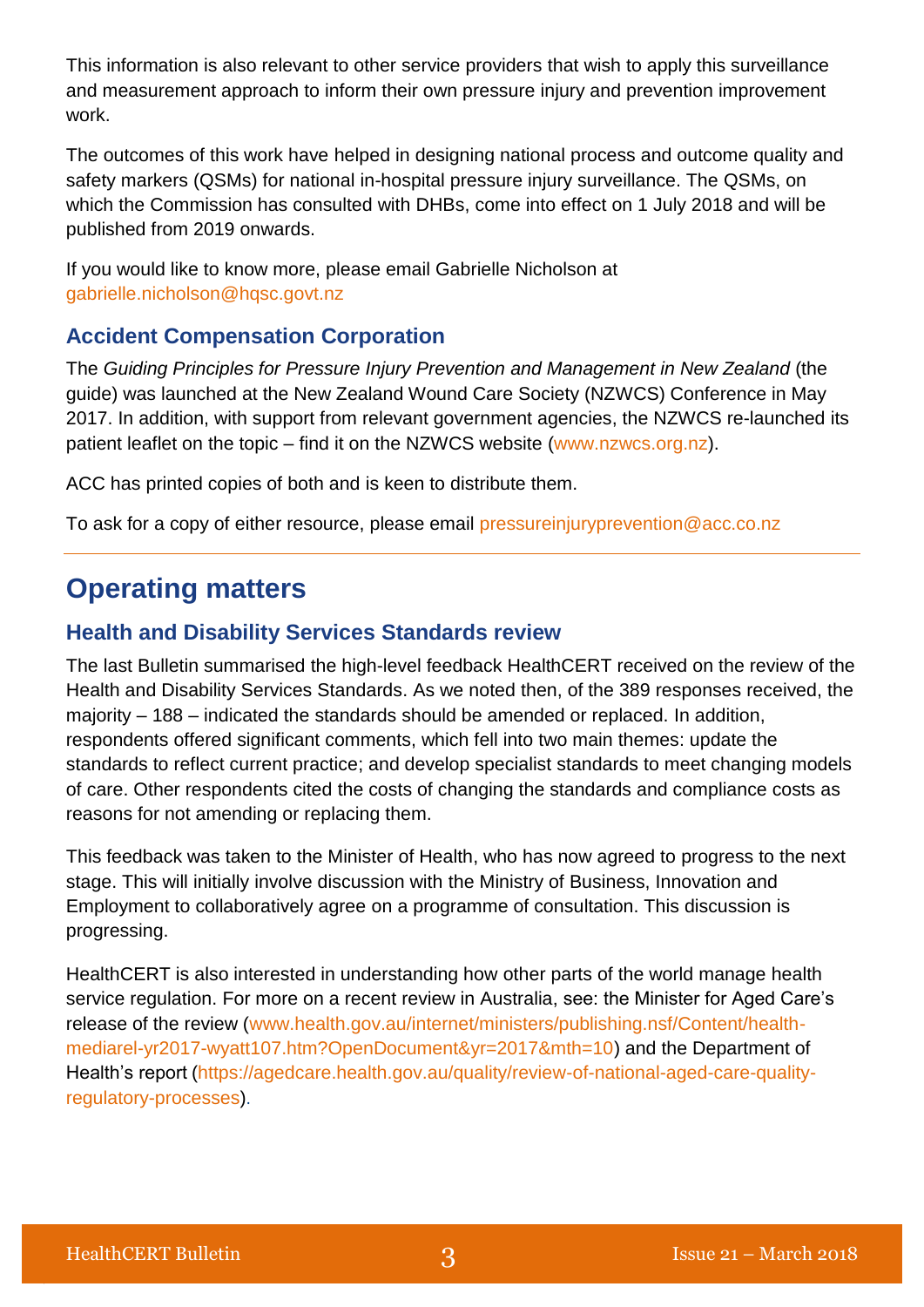This information is also relevant to other service providers that wish to apply this surveillance and measurement approach to inform their own pressure injury and prevention improvement work.

The outcomes of this work have helped in designing national process and outcome quality and safety markers (QSMs) for national in-hospital pressure injury surveillance. The QSMs, on which the Commission has consulted with DHBs, come into effect on 1 July 2018 and will be published from 2019 onwards.

If you would like to know more, please email Gabrielle Nicholson at [gabrielle.nicholson@hqsc.govt.nz](mailto:gabrielle.nicholson@hqsc.govt.nz)

### **Accident Compensation Corporation**

The *Guiding Principles for Pressure Injury Prevention and Management in New Zealand* (the guide) was launched at the New Zealand Wound Care Society (NZWCS) Conference in May 2017. In addition, with support from relevant government agencies, the NZWCS re-launched its patient leaflet on the topic – find it on the NZWCS website [\(www.nzwcs.org.nz\)](https://www.nzwcs.org.nz/).

ACC has printed copies of both and is keen to distribute them.

To ask for a copy of either resource, please email [pressureinjuryprevention@acc.co.nz](mailto:pressureinjuryprevention@acc.co.nz)

# **Operating matters**

### **Health and Disability Services Standards review**

The last Bulletin summarised the high-level feedback HealthCERT received on the review of the Health and Disability Services Standards. As we noted then, of the 389 responses received, the majority – 188 – indicated the standards should be amended or replaced. In addition, respondents offered significant comments, which fell into two main themes: update the standards to reflect current practice; and develop specialist standards to meet changing models of care. Other respondents cited the costs of changing the standards and compliance costs as reasons for not amending or replacing them.

This feedback was taken to the Minister of Health, who has now agreed to progress to the next stage. This will initially involve discussion with the Ministry of Business, Innovation and Employment to collaboratively agree on a programme of consultation. This discussion is progressing.

HealthCERT is also interested in understanding how other parts of the world manage health service regulation. For more on a recent review in Australia, see: the Minister for Aged Care's release of the review [\(www.health.gov.au/internet/ministers/publishing.nsf/Content/health](http://scanmail.trustwave.com/?c=5305&d=wZWb2myU2Rl4FcwtWwHZh571O5yl0q-pgfOnSqcgjA&u=http%3a%2f%2fwww%2ehealth%2egov%2eau%2finternet%2fministers%2fpublishing%2ensf%2fContent%2fhealth-mediarel-yr2017-wyatt107%2ehtm%3fOpenDocument%26yr%3d2017%26mth%3d10)[mediarel-yr2017-wyatt107.htm?OpenDocument&yr=2017&mth=10\)](http://scanmail.trustwave.com/?c=5305&d=wZWb2myU2Rl4FcwtWwHZh571O5yl0q-pgfOnSqcgjA&u=http%3a%2f%2fwww%2ehealth%2egov%2eau%2finternet%2fministers%2fpublishing%2ensf%2fContent%2fhealth-mediarel-yr2017-wyatt107%2ehtm%3fOpenDocument%26yr%3d2017%26mth%3d10) and the Department of Health's report [\(https://agedcare.health.gov.au/quality/review-of-national-aged-care-quality](https://scanmail.trustwave.com/?c=5305&d=wZWb2myU2Rl4FcwtWwHZh571O5yl0q-pgfqjGKJ72w&u=https%3a%2f%2fagedcare%2ehealth%2egov%2eau%2fquality%2freview-of-national-aged-care-quality-regulatory-processes)[regulatory-processes\)](https://scanmail.trustwave.com/?c=5305&d=wZWb2myU2Rl4FcwtWwHZh571O5yl0q-pgfqjGKJ72w&u=https%3a%2f%2fagedcare%2ehealth%2egov%2eau%2fquality%2freview-of-national-aged-care-quality-regulatory-processes).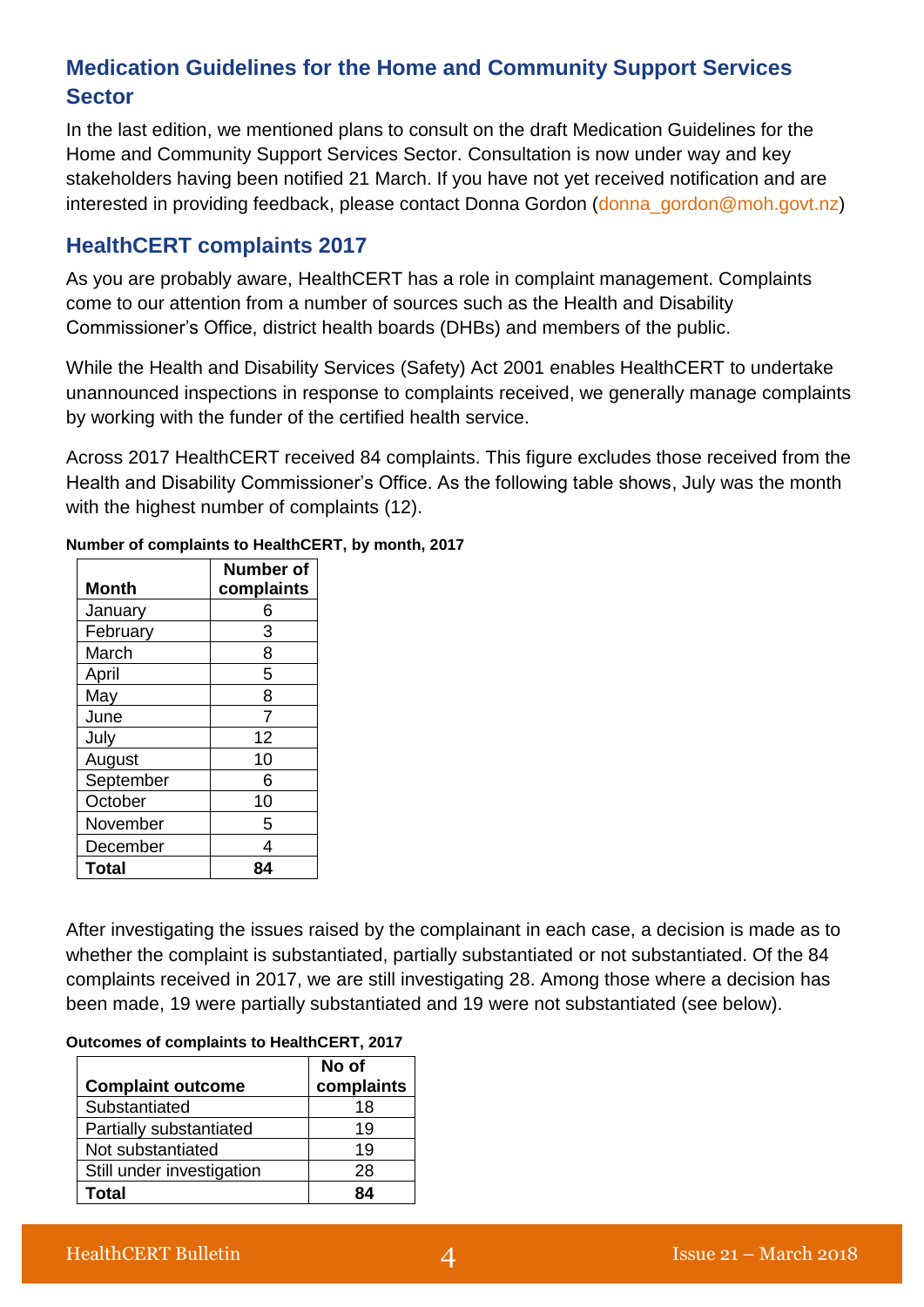## **Medication Guidelines for the Home and Community Support Services Sector**

In the last edition, we mentioned plans to consult on the draft Medication Guidelines for the Home and Community Support Services Sector. Consultation is now under way and key stakeholders having been notified 21 March. If you have not yet received notification and are interested in providing feedback, please contact Donna Gordon [\(donna\\_gordon@moh.govt.nz\)](mailto:donna_gordon@moh.govt.nz)

### **HealthCERT complaints 2017**

As you are probably aware, HealthCERT has a role in complaint management. Complaints come to our attention from a number of sources such as the Health and Disability Commissioner's Office, district health boards (DHBs) and members of the public.

While the Health and Disability Services (Safety) Act 2001 enables HealthCERT to undertake unannounced inspections in response to complaints received, we generally manage complaints by working with the funder of the certified health service.

Across 2017 HealthCERT received 84 complaints. This figure excludes those received from the Health and Disability Commissioner's Office. As the following table shows, July was the month with the highest number of complaints (12).

|           | Number of  |
|-----------|------------|
| Month     | complaints |
| January   | 6          |
| February  | 3          |
| March     | 8          |
| April     | 5          |
| May       | 8          |
| June      | 7          |
| July      | 12         |
| August    | 10         |
| September | 6          |
| October   | 10         |
| November  | 5          |
| December  | 4          |
| Total     |            |

**Number of complaints to HealthCERT, by month, 2017**

After investigating the issues raised by the complainant in each case, a decision is made as to whether the complaint is substantiated, partially substantiated or not substantiated. Of the 84 complaints received in 2017, we are still investigating 28. Among those where a decision has been made, 19 were partially substantiated and 19 were not substantiated (see below).

|  |  | Outcomes of complaints to HealthCERT, 2017 |  |
|--|--|--------------------------------------------|--|
|--|--|--------------------------------------------|--|

| <b>Complaint outcome</b>  | No of<br>complaints |
|---------------------------|---------------------|
| Substantiated             | 18                  |
| Partially substantiated   | 19                  |
| Not substantiated         | 19                  |
| Still under investigation | 28                  |
| Total                     |                     |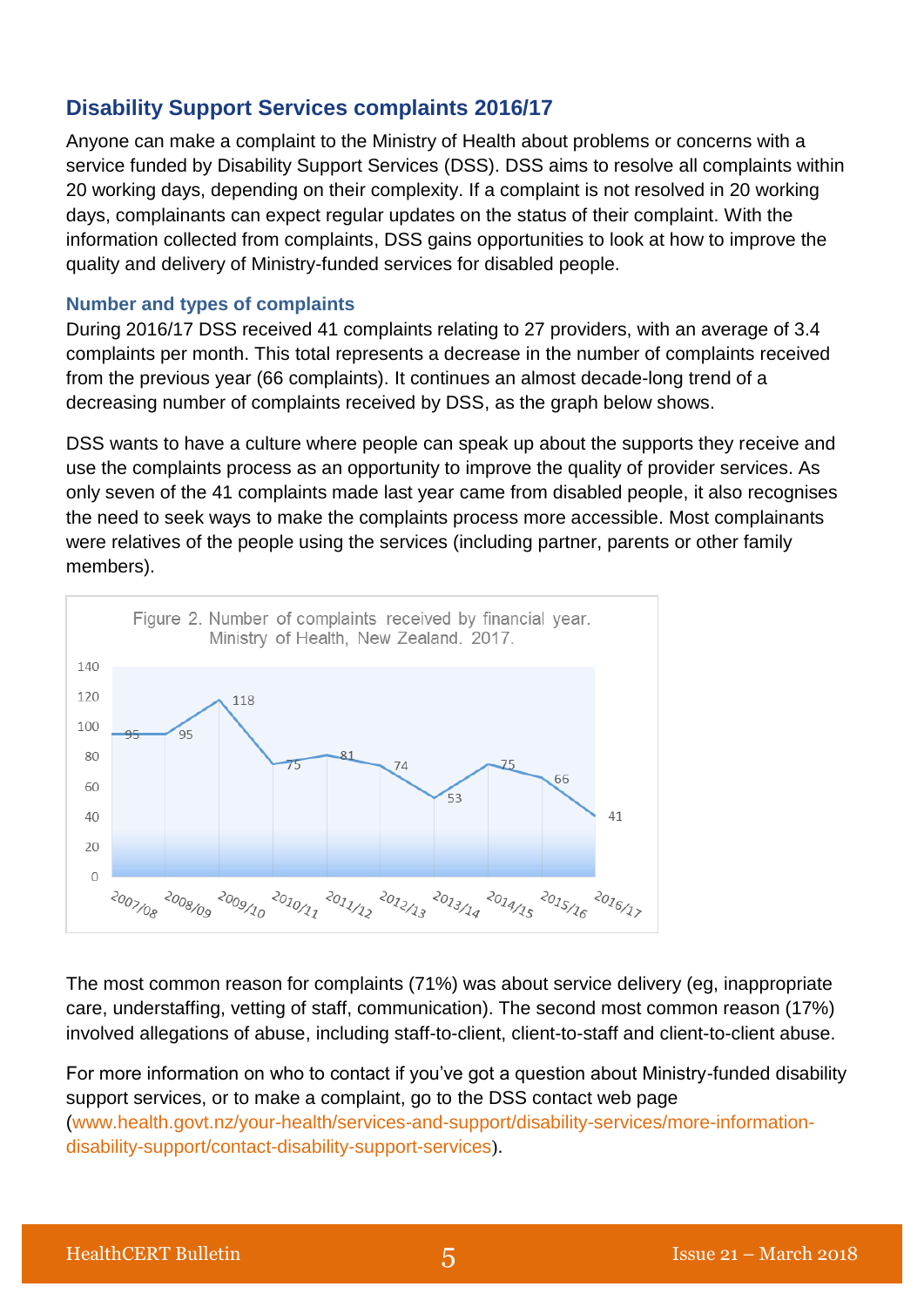## **Disability Support Services complaints 2016/17**

Anyone can make a complaint to the Ministry of Health about problems or concerns with a service funded by Disability Support Services (DSS). DSS aims to resolve all complaints within 20 working days, depending on their complexity. If a complaint is not resolved in 20 working days, complainants can expect regular updates on the status of their complaint. With the information collected from complaints, DSS gains opportunities to look at how to improve the quality and delivery of Ministry-funded services for disabled people.

#### **Number and types of complaints**

During 2016/17 DSS received 41 complaints relating to 27 providers, with an average of 3.4 complaints per month. This total represents a decrease in the number of complaints received from the previous year (66 complaints). It continues an almost decade-long trend of a decreasing number of complaints received by DSS, as the graph below shows.

DSS wants to have a culture where people can speak up about the supports they receive and use the complaints process as an opportunity to improve the quality of provider services. As only seven of the 41 complaints made last year came from disabled people, it also recognises the need to seek ways to make the complaints process more accessible. Most complainants were relatives of the people using the services (including partner, parents or other family members).



The most common reason for complaints (71%) was about service delivery (eg, inappropriate care, understaffing, vetting of staff, communication). The second most common reason (17%) involved allegations of abuse, including staff-to-client, client-to-staff and client-to-client abuse.

For more information on who to contact if you've got a question about Ministry-funded disability support services, or to make a complaint, go to the DSS contact web page [\(www.health.govt.nz/your-health/services-and-support/disability-services/more-information](http://www.health.govt.nz/your-health/services-and-support/disability-services/more-information-disability-support/contact-disability-support-services)[disability-support/contact-disability-support-services](http://www.health.govt.nz/your-health/services-and-support/disability-services/more-information-disability-support/contact-disability-support-services)).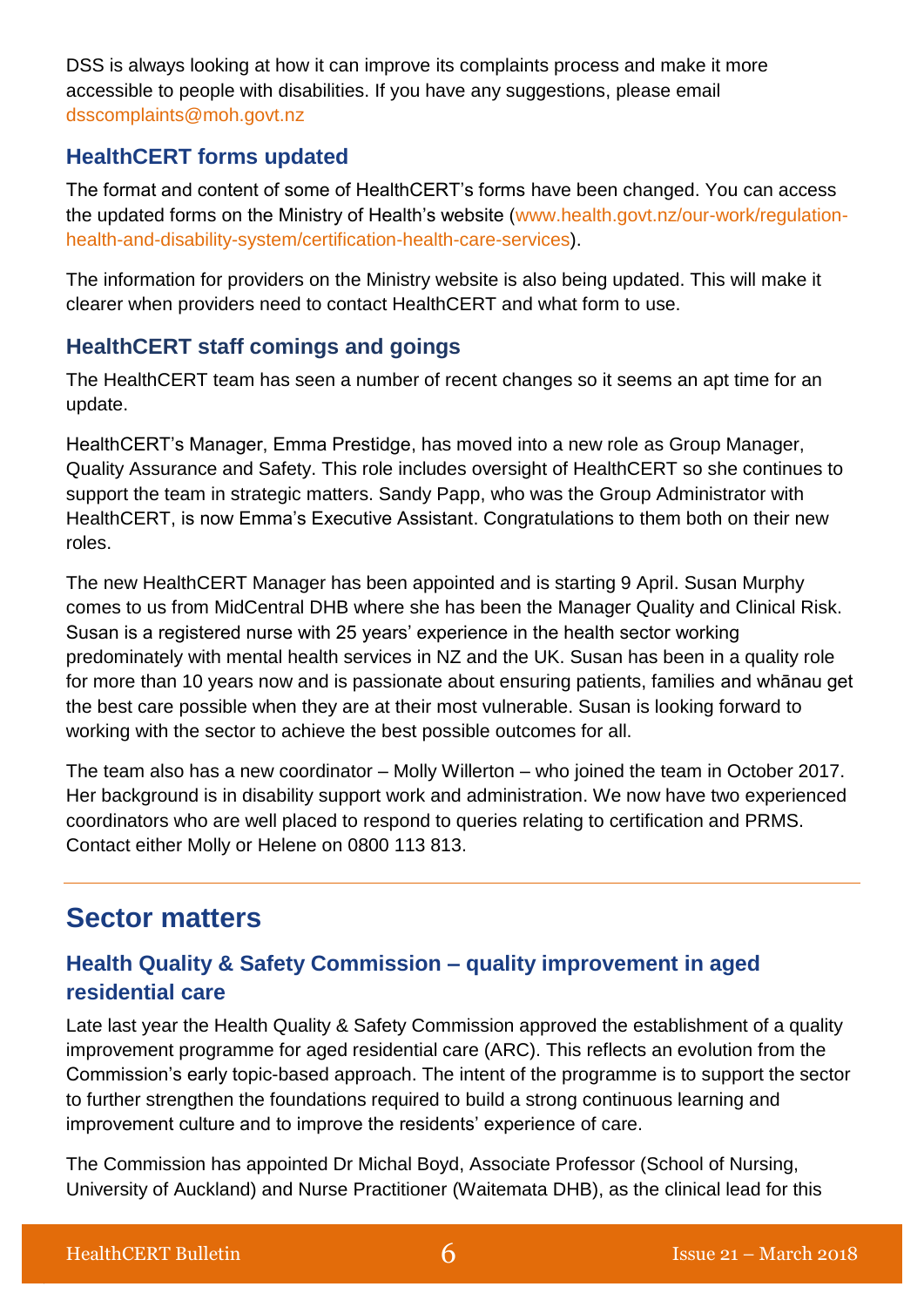DSS is always looking at how it can improve its complaints process and make it more accessible to people with disabilities. If you have any suggestions, please email [dsscomplaints@moh.govt.nz](mailto:dsscomplaints@moh.govt.nz)

### **HealthCERT forms updated**

The format and content of some of HealthCERT's forms have been changed. You can access the updated forms on the Ministry of Health's website [\(www.health.govt.nz/our-work/regulation](https://www.health.govt.nz/our-work/regulation-health-and-disability-system/certification-health-care-services)[health-and-disability-system/certification-health-care-services\)](https://www.health.govt.nz/our-work/regulation-health-and-disability-system/certification-health-care-services).

The information for providers on the Ministry website is also being updated. This will make it clearer when providers need to contact HealthCERT and what form to use.

## **HealthCERT staff comings and goings**

The HealthCERT team has seen a number of recent changes so it seems an apt time for an update.

HealthCERT's Manager, Emma Prestidge, has moved into a new role as Group Manager, Quality Assurance and Safety. This role includes oversight of HealthCERT so she continues to support the team in strategic matters. Sandy Papp, who was the Group Administrator with HealthCERT, is now Emma's Executive Assistant. Congratulations to them both on their new roles.

The new HealthCERT Manager has been appointed and is starting 9 April. Susan Murphy comes to us from MidCentral DHB where she has been the Manager Quality and Clinical Risk. Susan is a registered nurse with 25 years' experience in the health sector working predominately with mental health services in NZ and the UK. Susan has been in a quality role for more than 10 years now and is passionate about ensuring patients, families and whānau get the best care possible when they are at their most vulnerable. Susan is looking forward to working with the sector to achieve the best possible outcomes for all.

The team also has a new coordinator – Molly Willerton – who joined the team in October 2017. Her background is in disability support work and administration. We now have two experienced coordinators who are well placed to respond to queries relating to certification and PRMS. Contact either Molly or Helene on 0800 113 813.

# **Sector matters**

## **Health Quality & Safety Commission – quality improvement in aged residential care**

Late last year the Health Quality & Safety Commission approved the establishment of a quality improvement programme for aged residential care (ARC). This reflects an evolution from the Commission's early topic-based approach. The intent of the programme is to support the sector to further strengthen the foundations required to build a strong continuous learning and improvement culture and to improve the residents' experience of care.

The Commission has appointed Dr Michal Boyd, Associate Professor (School of Nursing, University of Auckland) and Nurse Practitioner (Waitemata DHB), as the clinical lead for this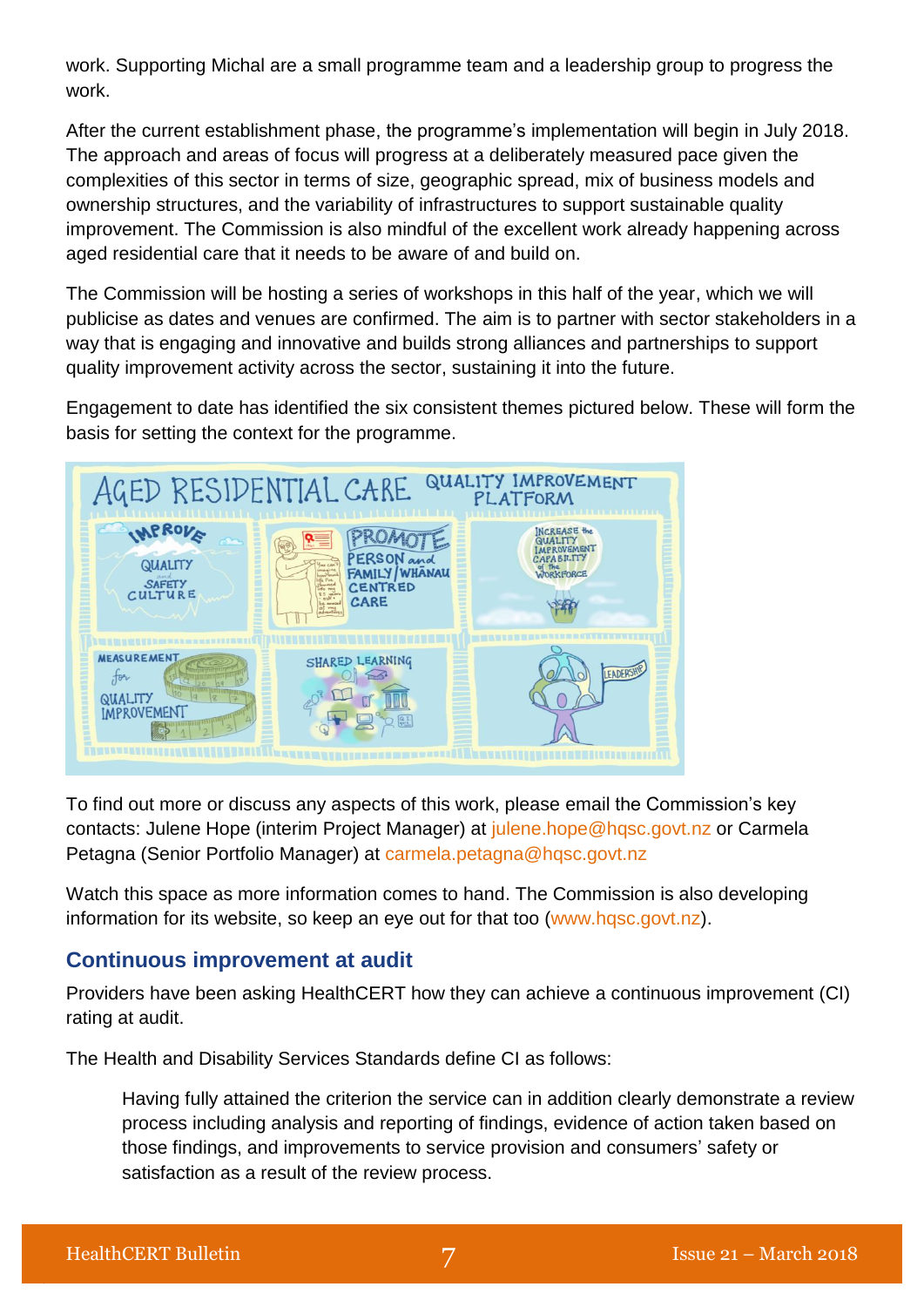work. Supporting Michal are a small programme team and a leadership group to progress the work.

After the current establishment phase, the programme's implementation will begin in July 2018. The approach and areas of focus will progress at a deliberately measured pace given the complexities of this sector in terms of size, geographic spread, mix of business models and ownership structures, and the variability of infrastructures to support sustainable quality improvement. The Commission is also mindful of the excellent work already happening across aged residential care that it needs to be aware of and build on.

The Commission will be hosting a series of workshops in this half of the year, which we will publicise as dates and venues are confirmed. The aim is to partner with sector stakeholders in a way that is engaging and innovative and builds strong alliances and partnerships to support quality improvement activity across the sector, sustaining it into the future.

Engagement to date has identified the six consistent themes pictured below. These will form the basis for setting the context for the programme.



To find out more or discuss any aspects of this work, please email the Commission's key contacts: Julene Hope (interim Project Manager) at [julene.hope@hqsc.govt.nz](mailto:julene.hope@hqsc.govt.nz) or Carmela Petagna (Senior Portfolio Manager) at [carmela.petagna@hqsc.govt.nz](mailto:carmela.petagna@hqsc.govt.nz)

Watch this space as more information comes to hand. The Commission is also developing information for its website, so keep an eye out for that too [\(www.hqsc.govt.nz\)](http://www.hqsc.govt.nz/).

### **Continuous improvement at audit**

Providers have been asking HealthCERT how they can achieve a continuous improvement (CI) rating at audit.

The Health and Disability Services Standards define CI as follows:

Having fully attained the criterion the service can in addition clearly demonstrate a review process including analysis and reporting of findings, evidence of action taken based on those findings, and improvements to service provision and consumers' safety or satisfaction as a result of the review process.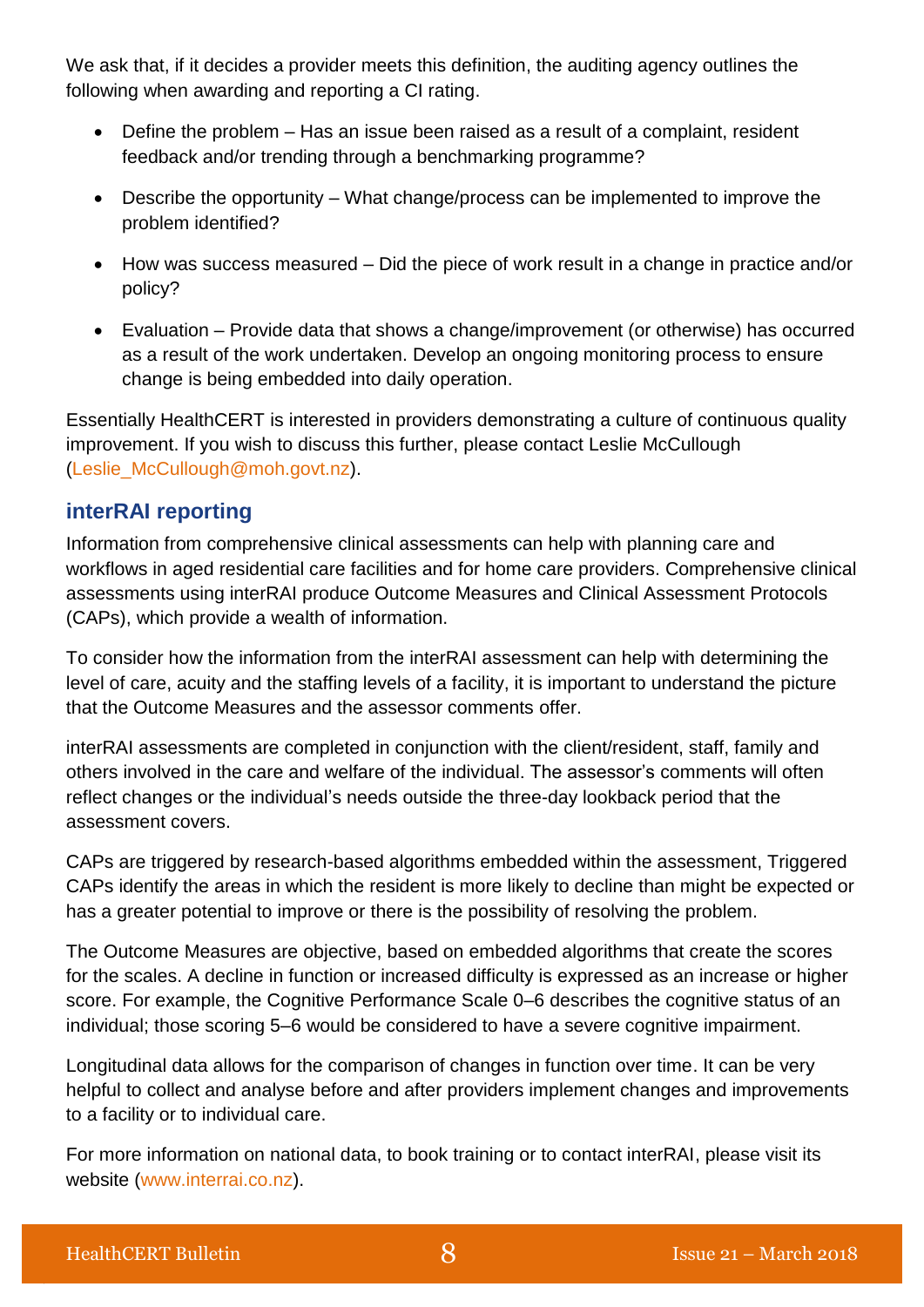We ask that, if it decides a provider meets this definition, the auditing agency outlines the following when awarding and reporting a CI rating.

- Define the problem Has an issue been raised as a result of a complaint, resident feedback and/or trending through a benchmarking programme?
- Describe the opportunity What change/process can be implemented to improve the problem identified?
- How was success measured Did the piece of work result in a change in practice and/or policy?
- Evaluation Provide data that shows a change/improvement (or otherwise) has occurred as a result of the work undertaken. Develop an ongoing monitoring process to ensure change is being embedded into daily operation.

Essentially HealthCERT is interested in providers demonstrating a culture of continuous quality improvement. If you wish to discuss this further, please contact Leslie McCullough [\(Leslie\\_McCullough@moh.govt.nz\)](mailto:Leslie_McCullough@moh.govt.nz).

### **interRAI reporting**

Information from comprehensive clinical assessments can help with planning care and workflows in aged residential care facilities and for home care providers. Comprehensive clinical assessments using interRAI produce Outcome Measures and Clinical Assessment Protocols (CAPs), which provide a wealth of information.

To consider how the information from the interRAI assessment can help with determining the level of care, acuity and the staffing levels of a facility, it is important to understand the picture that the Outcome Measures and the assessor comments offer.

interRAI assessments are completed in conjunction with the client/resident, staff, family and others involved in the care and welfare of the individual. The assessor's comments will often reflect changes or the individual's needs outside the three-day lookback period that the assessment covers.

CAPs are triggered by research-based algorithms embedded within the assessment, Triggered CAPs identify the areas in which the resident is more likely to decline than might be expected or has a greater potential to improve or there is the possibility of resolving the problem.

The Outcome Measures are objective, based on embedded algorithms that create the scores for the scales. A decline in function or increased difficulty is expressed as an increase or higher score. For example, the Cognitive Performance Scale 0–6 describes the cognitive status of an individual; those scoring 5–6 would be considered to have a severe cognitive impairment.

Longitudinal data allows for the comparison of changes in function over time. It can be very helpful to collect and analyse before and after providers implement changes and improvements to a facility or to individual care.

For more information on national data, to book training or to contact interRAI, please visit its website [\(www.interrai.co.nz\)](http://www.interrai.co.nz/).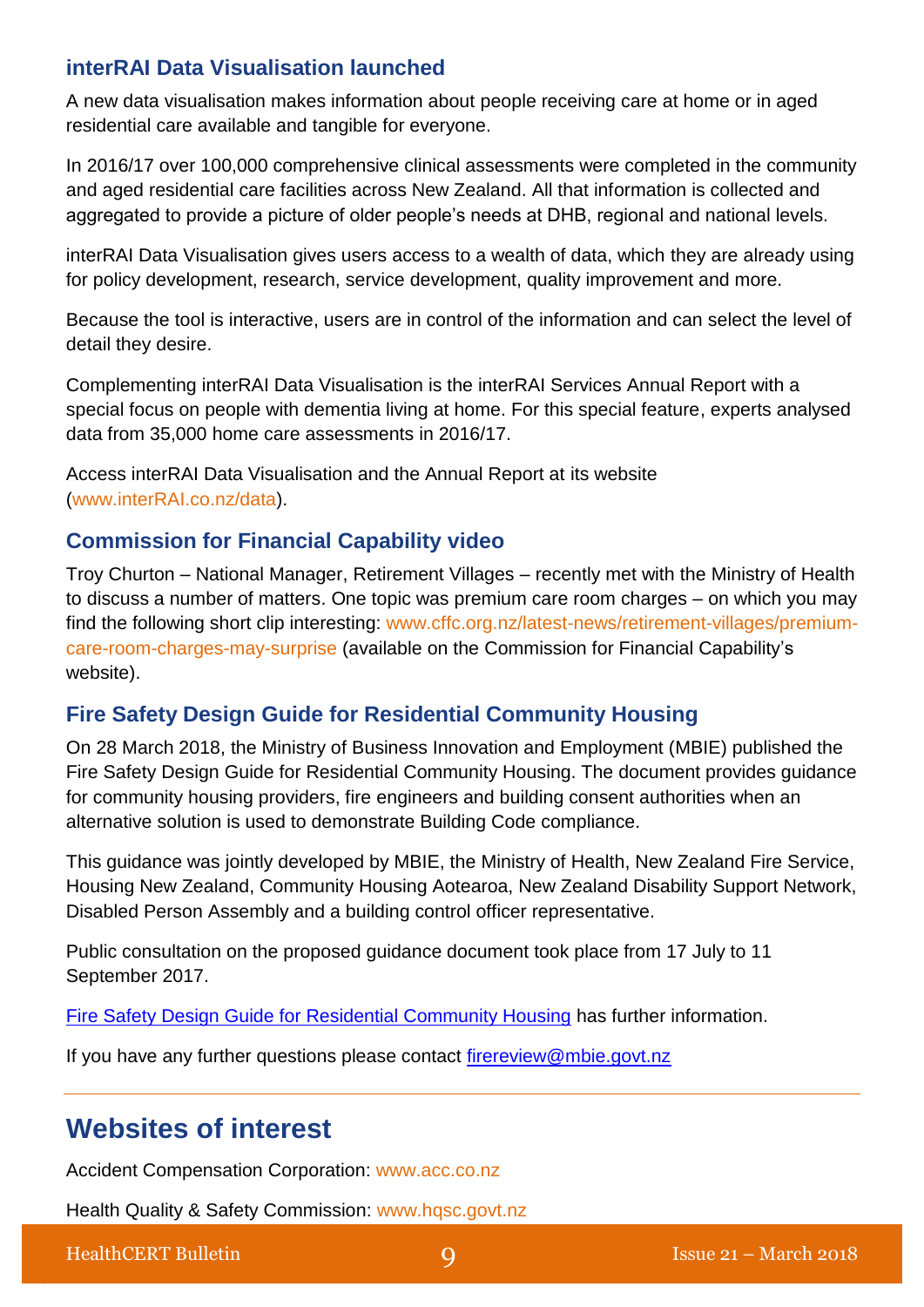### **interRAI Data Visualisation launched**

A new data visualisation makes information about people receiving care at home or in aged residential care available and tangible for everyone.

In 2016/17 over 100,000 comprehensive clinical assessments were completed in the community and aged residential care facilities across New Zealand. All that information is collected and aggregated to provide a picture of older people's needs at DHB, regional and national levels.

interRAI Data Visualisation gives users access to a wealth of data, which they are already using for policy development, research, service development, quality improvement and more.

Because the tool is interactive, users are in control of the information and can select the level of detail they desire.

Complementing interRAI Data Visualisation is the interRAI Services Annual Report with a special focus on people with dementia living at home. For this special feature, experts analysed data from 35,000 home care assessments in 2016/17.

Access interRAI Data Visualisation and the Annual Report at its website [\(www.interRAI.co.nz/data\)](http://scanmail.trustwave.com/?c=5305&d=hvSu2mSq0f_r2r6uHJfabSne6jGI9lpr7kigltWpfg&u=http%3a%2f%2fwww%2einterRAI%2eco%2enz%2fdata).

### **Commission for Financial Capability video**

Troy Churton – National Manager, Retirement Villages – recently met with the Ministry of Health to discuss a number of matters. One topic was premium care room charges – on which you may find the following short clip interesting: [www.cffc.org.nz/latest-news/retirement-villages/premium](https://www.cffc.org.nz/latest-news/retirement-villages/premium-care-room-charges-may-surprise/)[care-room-charges-may-surprise](https://www.cffc.org.nz/latest-news/retirement-villages/premium-care-room-charges-may-surprise/) (available on the Commission for Financial Capability's website).

### **Fire Safety Design Guide for Residential Community Housing**

On 28 March 2018, the Ministry of Business Innovation and Employment (MBIE) published the Fire Safety Design Guide for Residential Community Housing. The document provides guidance for community housing providers, fire engineers and building consent authorities when an alternative solution is used to demonstrate Building Code compliance.

This guidance was jointly developed by MBIE, the Ministry of Health, New Zealand Fire Service, Housing New Zealand, Community Housing Aotearoa, New Zealand Disability Support Network, Disabled Person Assembly and a building control officer representative.

Public consultation on the proposed guidance document took place from 17 July to 11 September 2017.

[Fire Safety Design Guide for Residential Community Housing](https://scanmail.trustwave.com/?c=5305&d=rbS62lyeQZdgXK2Jf9X8cdeREhyrWB--5tU5MdZgTQ&u=https%3a%2f%2fwww%2ebuilding%2egovt%2enz%2fbuilding-code-compliance%2fc-protection-from-fire%2fc-clauses-c1-c6%2ffire-safety-design-residential-community-housing%2f) has further information.

If you have any further questions please contact [firereview@mbie.govt.nz](mailto:firereview@mbie.govt.nz)

# **Websites of interest**

Accident Compensation Corporation: [www.acc.co.nz](http://www.acc.co.nz/)

Health Quality & Safety Commission: [www.hqsc.govt.nz](http://www.hqsc.govt.nz/our-programmes/partners-in-care/publications-and-resources/publication/2046/)

HealthCERT Bulletin **9 9** Issue 21 – March 2018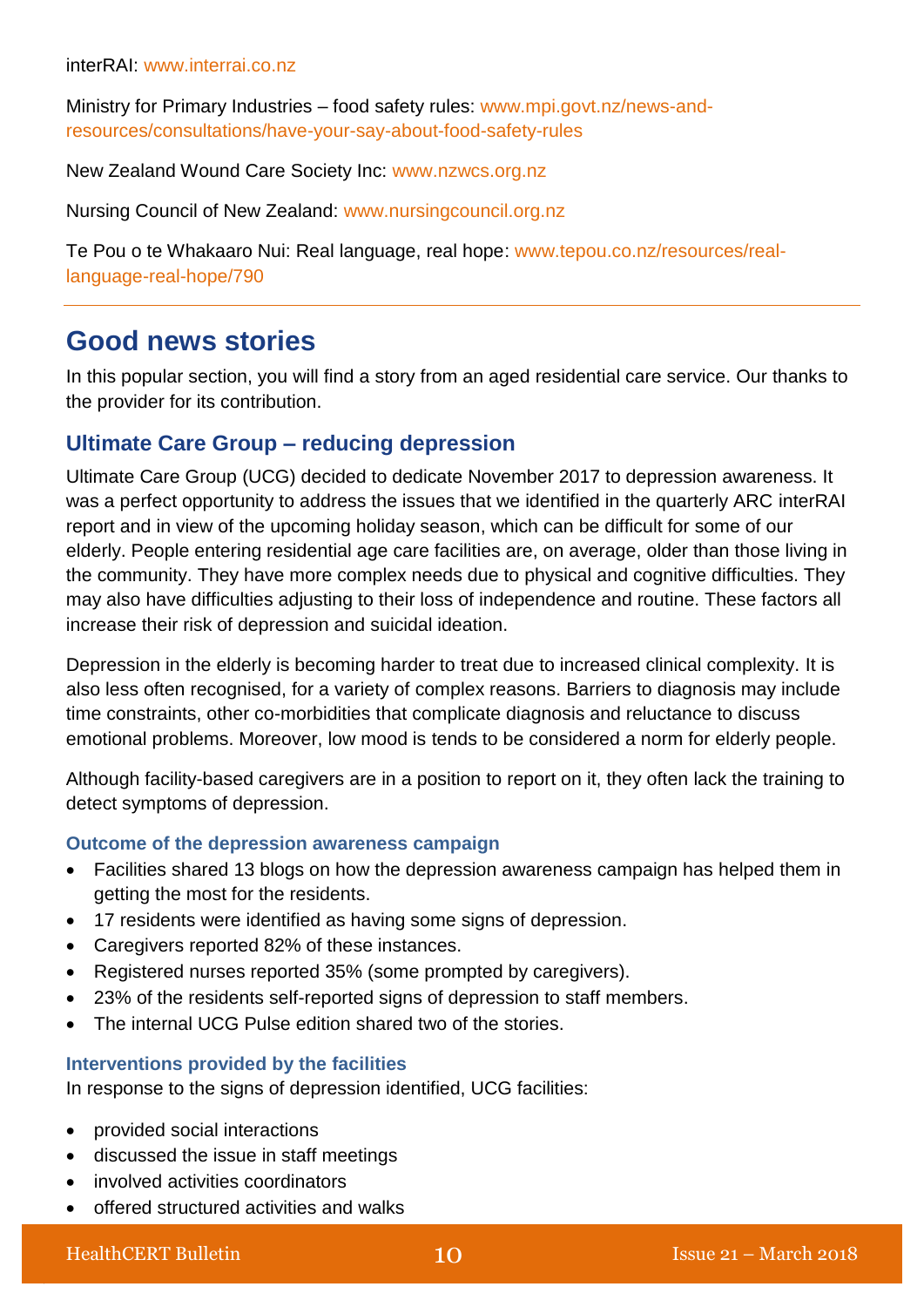Ministry for Primary Industries – food safety rules: [www.mpi.govt.nz/news-and](http://www.mpi.govt.nz/news-and-resources/consultations/have-your-say-about-food-safety-rules/)[resources/consultations/have-your-say-about-food-safety-rules](http://www.mpi.govt.nz/news-and-resources/consultations/have-your-say-about-food-safety-rules/)

New Zealand Wound Care Society Inc: [www.nzwcs.org.nz](http://www.nzwcs.org.nz/)

Nursing Council of New Zealand: [www.nursingcouncil.org.nz](http://www.nursingcouncil.org.nz/)

Te Pou o te Whakaaro Nui: Real language, real hope: [www.tepou.co.nz/resources/real](https://www.tepou.co.nz/resources/real-language-real-hope/790)[language-real-hope/790](https://www.tepou.co.nz/resources/real-language-real-hope/790)

# **Good news stories**

In this popular section, you will find a story from an aged residential care service. Our thanks to the provider for its contribution.

### **Ultimate Care Group – reducing depression**

Ultimate Care Group (UCG) decided to dedicate November 2017 to depression awareness. It was a perfect opportunity to address the issues that we identified in the quarterly ARC interRAI report and in view of the upcoming holiday season, which can be difficult for some of our elderly. People entering residential age care facilities are, on average, older than those living in the community. They have more complex needs due to physical and cognitive difficulties. They may also have difficulties adjusting to their loss of independence and routine. These factors all increase their risk of depression and suicidal ideation.

Depression in the elderly is becoming harder to treat due to increased clinical complexity. It is also less often recognised, for a variety of complex reasons. Barriers to diagnosis may include time constraints, other co-morbidities that complicate diagnosis and reluctance to discuss emotional problems. Moreover, low mood is tends to be considered a norm for elderly people.

Although facility-based caregivers are in a position to report on it, they often [lack the training](http://www.ncbi.nlm.nih.gov/pubmed/17164162) to detect symptoms of depression.

### **Outcome of the depression awareness campaign**

- Facilities shared 13 blogs on how the depression awareness campaign has helped them in getting the most for the residents.
- 17 residents were identified as having some signs of depression.
- Caregivers reported 82% of these instances.
- Registered nurses reported 35% (some prompted by caregivers).
- 23% of the residents self-reported signs of depression to staff members.
- The internal UCG Pulse edition shared two of the stories.

### **Interventions provided by the facilities**

In response to the signs of depression identified, UCG facilities:

- provided social interactions
- discussed the issue in staff meetings
- involved activities coordinators
- offered structured activities and walks